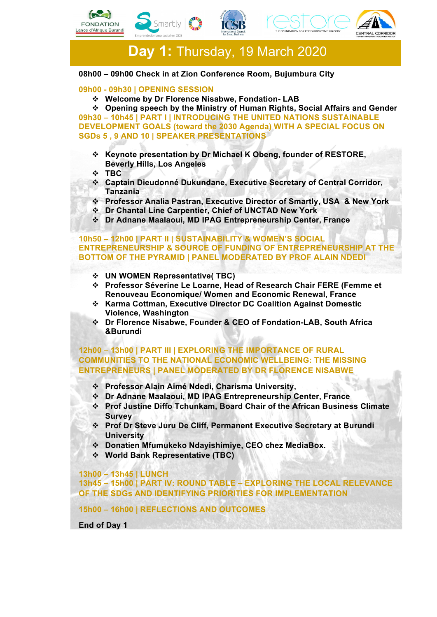







 **Day 1:** Thursday, 19 March 2020

#### **08h00 – 09h00 Check in at Zion Conference Room, Bujumbura City**

## **09h00 - 09h30 | OPENING SESSION**

v **Welcome by Dr Florence Nisabwe, Fondation- LAB**

v **Opening speech by the Ministry of Human Rights, Social Affairs and Gender 09h30 – 10h45 | PART I | INTRODUCING THE UNITED NATIONS SUSTAINABLE DEVELOPMENT GOALS (toward the 2030 Agenda) WITH A SPECIAL FOCUS ON SGDs 5 , 9 AND 10 | SPEAKER PRESENTATIONS**

- v **Keynote presentation by Dr Michael K Obeng, founder of RESTORE, Beverly Hills, Los Angeles**
- v **TBC**
- v **Captain Dieudonné Dukundane, Executive Secretary of Central Corridor, Tanzania**
- v **Professor Analia Pastran, Executive Director of Smartly, USA & New York**
- v **Dr Chantal Line Carpentier, Chief of UNCTAD New York**
- v **Dr Adnane Maalaoui, MD IPAG Entrepreneurship Center, France**

## **10h50 – 12h00 | PART II | SUSTAINABILITY & WOMEN'S SOCIAL ENTREPRENEURSHIP & SOURCE OF FUNDING OF ENTREPRENEURSHIP AT THE BOTTOM OF THE PYRAMID | PANEL MODERATED BY PROF ALAIN NDEDI**

- v **UN WOMEN Representative( TBC)**
- v **Professor Séverine Le Loarne, Head of Research Chair FERE (Femme et Renouveau Economique/ Women and Economic Renewal, France**
- v **Karma Cottman, Executive Director DC Coalition Against Domestic Violence, Washington**
- v **Dr Florence Nisabwe, Founder & CEO of Fondation-LAB, South Africa &Burundi**

## **12h00 – 13h00 | PART III | EXPLORING THE IMPORTANCE OF RURAL COMMUNITIES TO THE NATIONAL ECONOMIC WELLBEING: THE MISSING ENTREPRENEURS | PANEL MODERATED BY DR FLORENCE NISABWE**

- v **Professor Alain Aimé Ndedi, Charisma University,**
- v **Dr Adnane Maalaoui, MD IPAG Entrepreneurship Center, France**
- v **Prof Justine Diffo Tchunkam, Board Chair of the African Business Climate Survey**
- v **Prof Dr Steve Juru De Cliff, Permanent Executive Secretary at Burundi University**
- v **Donatien Mfumukeko Ndayishimiye, CEO chez MediaBox.**
- v **World Bank Representative (TBC)**

**13h00 – 13h45 | LUNCH**

**13h45 – 15h00 | PART IV: ROUND TABLE – EXPLORING THE LOCAL RELEVANCE OF THE SDGs AND IDENTIFYING PRIORITIES FOR IMPLEMENTATION**

**15h00 – 16h00 | REFLECTIONS AND OUTCOMES**

**End of Day 1**